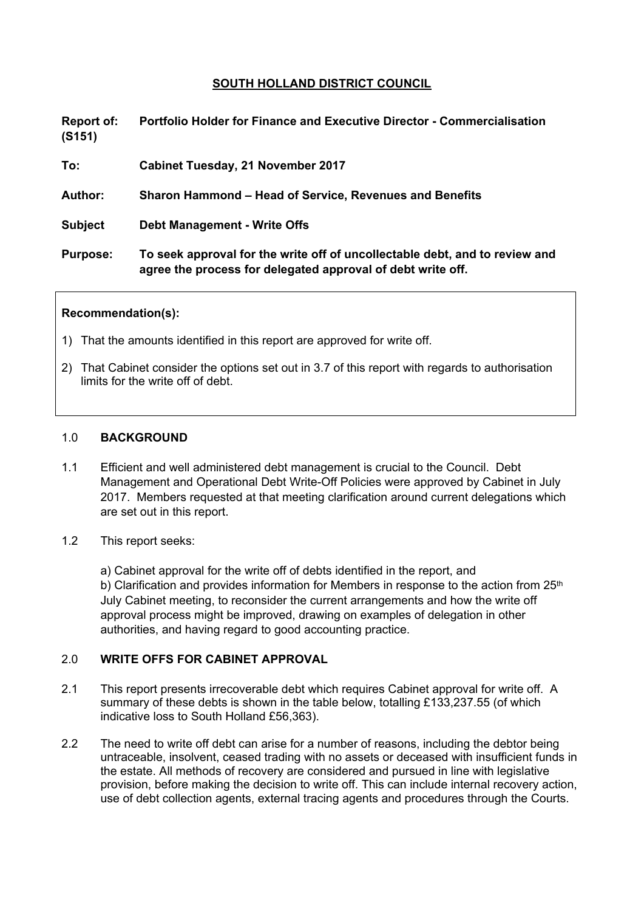# **SOUTH HOLLAND DISTRICT COUNCIL**

**Report of: Portfolio Holder for Finance and Executive Director - Commercialisation (S151)**

**To: Cabinet Tuesday, 21 November 2017**

**Author: Sharon Hammond – Head of Service, Revenues and Benefits**

**Subject Debt Management - Write Offs**

**Purpose: To seek approval for the write off of uncollectable debt, and to review and agree the process for delegated approval of debt write off.**

#### **Recommendation(s):**

- 1) That the amounts identified in this report are approved for write off.
- 2) That Cabinet consider the options set out in 3.7 of this report with regards to authorisation limits for the write off of debt.

#### 1.0 **BACKGROUND**

- 1.1 Efficient and well administered debt management is crucial to the Council. Debt Management and Operational Debt Write-Off Policies were approved by Cabinet in July 2017. Members requested at that meeting clarification around current delegations which are set out in this report.
- 1.2 This report seeks:

a) Cabinet approval for the write off of debts identified in the report, and b) Clarification and provides information for Members in response to the action from  $25<sup>th</sup>$ July Cabinet meeting, to reconsider the current arrangements and how the write off approval process might be improved, drawing on examples of delegation in other authorities, and having regard to good accounting practice.

#### 2.0 **WRITE OFFS FOR CABINET APPROVAL**

- 2.1 This report presents irrecoverable debt which requires Cabinet approval for write off. A summary of these debts is shown in the table below, totalling £133,237.55 (of which indicative loss to South Holland £56,363).
- 2.2 The need to write off debt can arise for a number of reasons, including the debtor being untraceable, insolvent, ceased trading with no assets or deceased with insufficient funds in the estate. All methods of recovery are considered and pursued in line with legislative provision, before making the decision to write off. This can include internal recovery action, use of debt collection agents, external tracing agents and procedures through the Courts.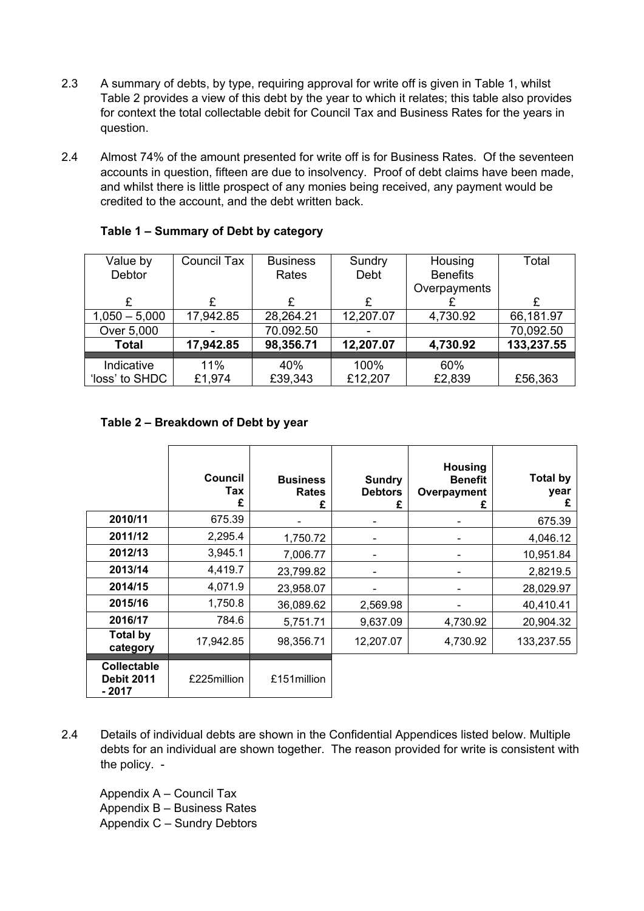- 2.3 A summary of debts, by type, requiring approval for write off is given in Table 1, whilst Table 2 provides a view of this debt by the year to which it relates; this table also provides for context the total collectable debit for Council Tax and Business Rates for the years in question.
- 2.4 Almost 74% of the amount presented for write off is for Business Rates. Of the seventeen accounts in question, fifteen are due to insolvency. Proof of debt claims have been made, and whilst there is little prospect of any monies being received, any payment would be credited to the account, and the debt written back.

| Value by        | Council Tax | <b>Business</b> | Sundry    | Housing         | Total      |
|-----------------|-------------|-----------------|-----------|-----------------|------------|
| Debtor          |             | Rates           | Debt      | <b>Benefits</b> |            |
|                 |             |                 |           | Overpayments    |            |
| £               |             |                 |           |                 | £          |
| $1,050 - 5,000$ | 17,942.85   | 28,264.21       | 12,207.07 | 4,730.92        | 66,181.97  |
| Over 5,000      |             | 70.092.50       |           |                 | 70,092.50  |
| <b>Total</b>    | 17,942.85   | 98,356.71       | 12,207.07 | 4,730.92        | 133,237.55 |
|                 |             |                 |           |                 |            |
| Indicative      | 11%         | 40%             | 100%      | 60%             |            |
| 'loss' to SHDC  | £1,974      | £39,343         | £12,207   | £2,839          | £56,363    |

# **Table 1 – Summary of Debt by category**

## **Table 2 – Breakdown of Debt by year**

|                                                    | Council<br>Tax<br>£ | <b>Business</b><br><b>Rates</b><br>£ | <b>Sundry</b><br><b>Debtors</b> | <b>Housing</b><br><b>Benefit</b><br>Overpayment<br>£ | <b>Total by</b><br>year<br>£ |
|----------------------------------------------------|---------------------|--------------------------------------|---------------------------------|------------------------------------------------------|------------------------------|
| 2010/11                                            | 675.39              |                                      |                                 |                                                      | 675.39                       |
| 2011/12                                            | 2,295.4             | 1,750.72                             |                                 |                                                      | 4,046.12                     |
| 2012/13                                            | 3,945.1             | 7,006.77                             |                                 |                                                      | 10,951.84                    |
| 2013/14                                            | 4,419.7             | 23,799.82                            |                                 |                                                      | 2,8219.5                     |
| 2014/15                                            | 4,071.9             | 23,958.07                            |                                 | -                                                    | 28,029.97                    |
| 2015/16                                            | 1,750.8             | 36,089.62                            | 2,569.98                        |                                                      | 40,410.41                    |
| 2016/17                                            | 784.6               | 5,751.71                             | 9.637.09                        | 4,730.92                                             | 20,904.32                    |
| <b>Total by</b><br>category                        | 17,942.85           | 98,356.71                            | 12,207.07                       | 4,730.92                                             | 133,237.55                   |
| <b>Collectable</b><br><b>Debit 2011</b><br>$-2017$ | £225million         | £151 million                         |                                 |                                                      |                              |

2.4 Details of individual debts are shown in the Confidential Appendices listed below. Multiple debts for an individual are shown together. The reason provided for write is consistent with the policy. -

Appendix A – Council Tax Appendix B – Business Rates Appendix C – Sundry Debtors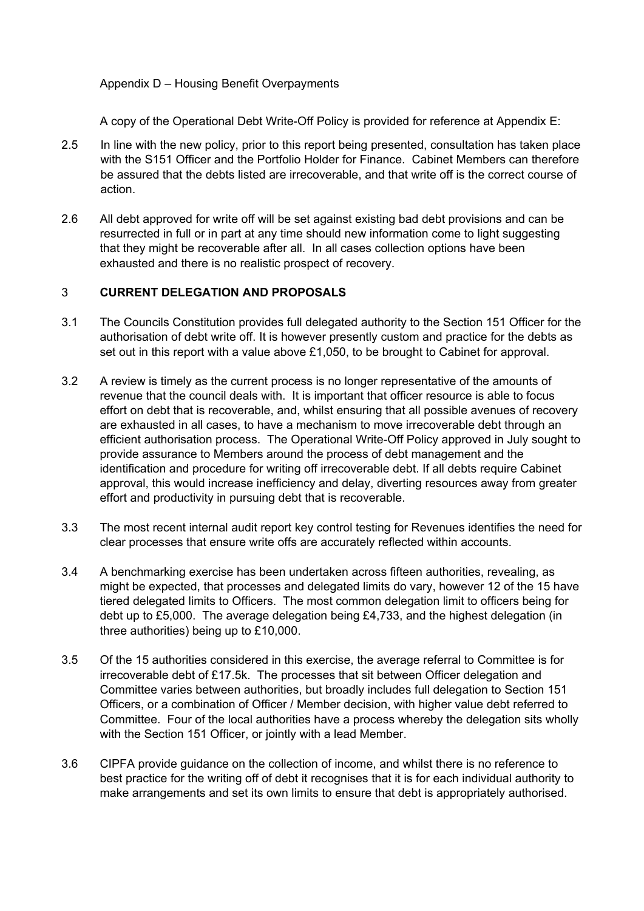# Appendix D – Housing Benefit Overpayments

A copy of the Operational Debt Write-Off Policy is provided for reference at Appendix E:

- 2.5 In line with the new policy, prior to this report being presented, consultation has taken place with the S151 Officer and the Portfolio Holder for Finance. Cabinet Members can therefore be assured that the debts listed are irrecoverable, and that write off is the correct course of action.
- 2.6 All debt approved for write off will be set against existing bad debt provisions and can be resurrected in full or in part at any time should new information come to light suggesting that they might be recoverable after all. In all cases collection options have been exhausted and there is no realistic prospect of recovery.

## 3 **CURRENT DELEGATION AND PROPOSALS**

- 3.1 The Councils Constitution provides full delegated authority to the Section 151 Officer for the authorisation of debt write off. It is however presently custom and practice for the debts as set out in this report with a value above £1,050, to be brought to Cabinet for approval.
- 3.2 A review is timely as the current process is no longer representative of the amounts of revenue that the council deals with. It is important that officer resource is able to focus effort on debt that is recoverable, and, whilst ensuring that all possible avenues of recovery are exhausted in all cases, to have a mechanism to move irrecoverable debt through an efficient authorisation process. The Operational Write-Off Policy approved in July sought to provide assurance to Members around the process of debt management and the identification and procedure for writing off irrecoverable debt. If all debts require Cabinet approval, this would increase inefficiency and delay, diverting resources away from greater effort and productivity in pursuing debt that is recoverable.
- 3.3 The most recent internal audit report key control testing for Revenues identifies the need for clear processes that ensure write offs are accurately reflected within accounts.
- 3.4 A benchmarking exercise has been undertaken across fifteen authorities, revealing, as might be expected, that processes and delegated limits do vary, however 12 of the 15 have tiered delegated limits to Officers. The most common delegation limit to officers being for debt up to £5,000. The average delegation being £4,733, and the highest delegation (in three authorities) being up to £10,000.
- 3.5 Of the 15 authorities considered in this exercise, the average referral to Committee is for irrecoverable debt of £17.5k. The processes that sit between Officer delegation and Committee varies between authorities, but broadly includes full delegation to Section 151 Officers, or a combination of Officer / Member decision, with higher value debt referred to Committee. Four of the local authorities have a process whereby the delegation sits wholly with the Section 151 Officer, or jointly with a lead Member.
- 3.6 CIPFA provide guidance on the collection of income, and whilst there is no reference to best practice for the writing off of debt it recognises that it is for each individual authority to make arrangements and set its own limits to ensure that debt is appropriately authorised.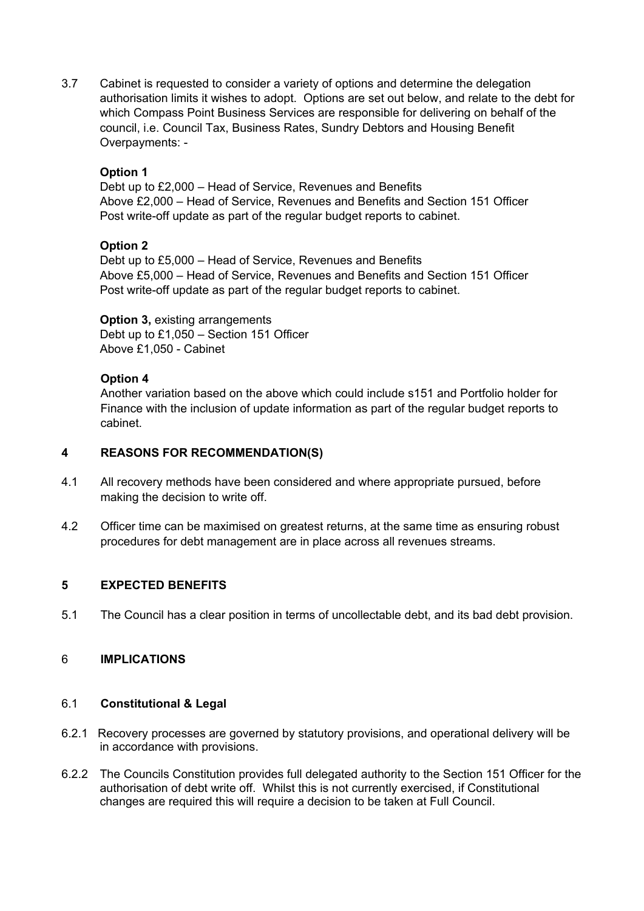3.7 Cabinet is requested to consider a variety of options and determine the delegation authorisation limits it wishes to adopt. Options are set out below, and relate to the debt for which Compass Point Business Services are responsible for delivering on behalf of the council, i.e. Council Tax, Business Rates, Sundry Debtors and Housing Benefit Overpayments: -

# **Option 1**

Debt up to £2,000 – Head of Service, Revenues and Benefits Above £2,000 – Head of Service, Revenues and Benefits and Section 151 Officer Post write-off update as part of the regular budget reports to cabinet.

## **Option 2**

Debt up to £5,000 – Head of Service, Revenues and Benefits Above £5,000 – Head of Service, Revenues and Benefits and Section 151 Officer Post write-off update as part of the regular budget reports to cabinet.

**Option 3,** existing arrangements Debt up to £1,050 – Section 151 Officer Above £1,050 - Cabinet

## **Option 4**

Another variation based on the above which could include s151 and Portfolio holder for Finance with the inclusion of update information as part of the regular budget reports to cabinet.

#### **4 REASONS FOR RECOMMENDATION(S)**

- 4.1 All recovery methods have been considered and where appropriate pursued, before making the decision to write off.
- 4.2 Officer time can be maximised on greatest returns, at the same time as ensuring robust procedures for debt management are in place across all revenues streams.

#### **5 EXPECTED BENEFITS**

5.1 The Council has a clear position in terms of uncollectable debt, and its bad debt provision.

#### 6 **IMPLICATIONS**

#### 6.1 **Constitutional & Legal**

- 6.2.1 Recovery processes are governed by statutory provisions, and operational delivery will be in accordance with provisions.
- 6.2.2 The Councils Constitution provides full delegated authority to the Section 151 Officer for the authorisation of debt write off. Whilst this is not currently exercised, if Constitutional changes are required this will require a decision to be taken at Full Council.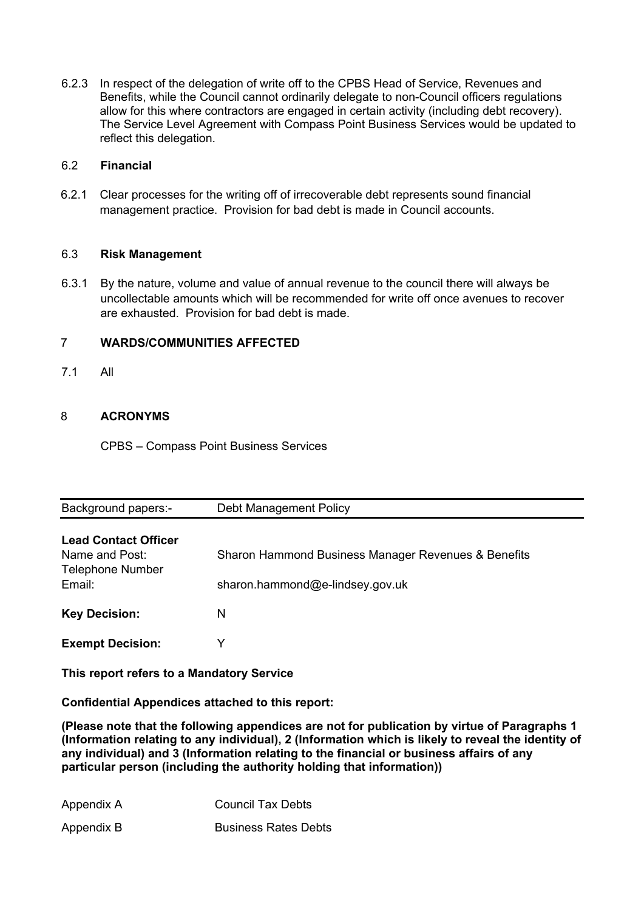6.2.3 In respect of the delegation of write off to the CPBS Head of Service, Revenues and Benefits, while the Council cannot ordinarily delegate to non-Council officers regulations allow for this where contractors are engaged in certain activity (including debt recovery). The Service Level Agreement with Compass Point Business Services would be updated to reflect this delegation.

#### 6.2 **Financial**

6.2.1 Clear processes for the writing off of irrecoverable debt represents sound financial management practice. Provision for bad debt is made in Council accounts.

## 6.3 **Risk Management**

6.3.1 By the nature, volume and value of annual revenue to the council there will always be uncollectable amounts which will be recommended for write off once avenues to recover are exhausted. Provision for bad debt is made.

# 7 **WARDS/COMMUNITIES AFFECTED**

7.1 All

# 8 **ACRONYMS**

CPBS – Compass Point Business Services

| Background papers:-                                                                | Debt Management Policy                                                                 |
|------------------------------------------------------------------------------------|----------------------------------------------------------------------------------------|
| <b>Lead Contact Officer</b><br>Name and Post:<br><b>Telephone Number</b><br>Email: | Sharon Hammond Business Manager Revenues & Benefits<br>sharon.hammond@e-lindsey.gov.uk |
| <b>Key Decision:</b>                                                               | N                                                                                      |
| <b>Exempt Decision:</b>                                                            |                                                                                        |

**This report refers to a Mandatory Service**

**Confidential Appendices attached to this report:**

**(Please note that the following appendices are not for publication by virtue of Paragraphs 1 (Information relating to any individual), 2 (Information which is likely to reveal the identity of any individual) and 3 (Information relating to the financial or business affairs of any particular person (including the authority holding that information))**

| Appendix A | <b>Council Tax Debts</b>    |
|------------|-----------------------------|
| Appendix B | <b>Business Rates Debts</b> |